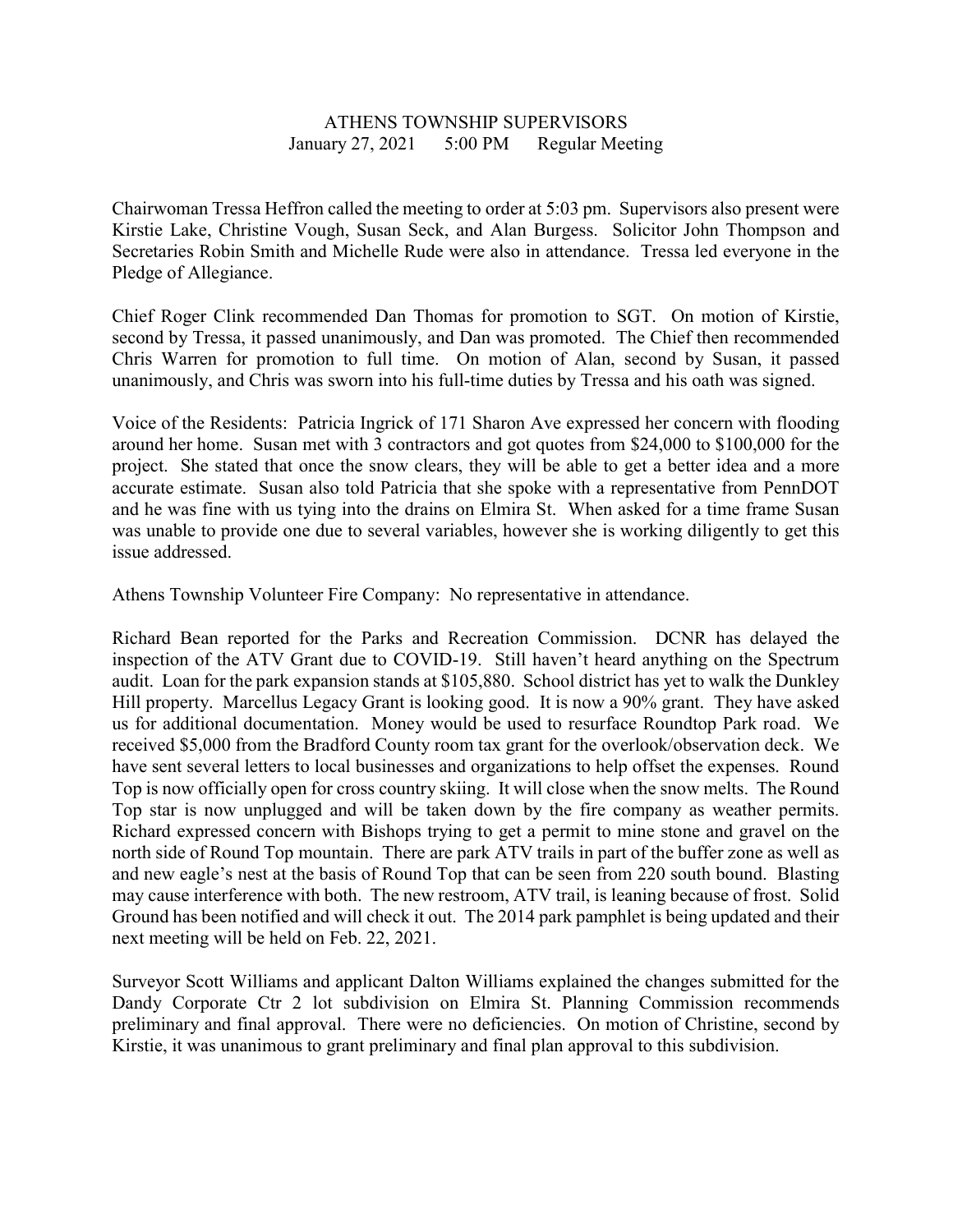## ATHENS TOWNSHIP SUPERVISORS January 27, 2021 5:00 PM Regular Meeting

Chairwoman Tressa Heffron called the meeting to order at 5:03 pm. Supervisors also present were Kirstie Lake, Christine Vough, Susan Seck, and Alan Burgess. Solicitor John Thompson and Secretaries Robin Smith and Michelle Rude were also in attendance. Tressa led everyone in the Pledge of Allegiance.

Chief Roger Clink recommended Dan Thomas for promotion to SGT. On motion of Kirstie, second by Tressa, it passed unanimously, and Dan was promoted. The Chief then recommended Chris Warren for promotion to full time. On motion of Alan, second by Susan, it passed unanimously, and Chris was sworn into his full-time duties by Tressa and his oath was signed.

Voice of the Residents: Patricia Ingrick of 171 Sharon Ave expressed her concern with flooding around her home. Susan met with 3 contractors and got quotes from \$24,000 to \$100,000 for the project. She stated that once the snow clears, they will be able to get a better idea and a more accurate estimate. Susan also told Patricia that she spoke with a representative from PennDOT and he was fine with us tying into the drains on Elmira St. When asked for a time frame Susan was unable to provide one due to several variables, however she is working diligently to get this issue addressed.

Athens Township Volunteer Fire Company: No representative in attendance.

Richard Bean reported for the Parks and Recreation Commission. DCNR has delayed the inspection of the ATV Grant due to COVID-19. Still haven't heard anything on the Spectrum audit. Loan for the park expansion stands at \$105,880. School district has yet to walk the Dunkley Hill property. Marcellus Legacy Grant is looking good. It is now a 90% grant. They have asked us for additional documentation. Money would be used to resurface Roundtop Park road. We received \$5,000 from the Bradford County room tax grant for the overlook/observation deck. We have sent several letters to local businesses and organizations to help offset the expenses. Round Top is now officially open for cross country skiing. It will close when the snow melts. The Round Top star is now unplugged and will be taken down by the fire company as weather permits. Richard expressed concern with Bishops trying to get a permit to mine stone and gravel on the north side of Round Top mountain. There are park ATV trails in part of the buffer zone as well as and new eagle's nest at the basis of Round Top that can be seen from 220 south bound. Blasting may cause interference with both. The new restroom, ATV trail, is leaning because of frost. Solid Ground has been notified and will check it out. The 2014 park pamphlet is being updated and their next meeting will be held on Feb. 22, 2021.

Surveyor Scott Williams and applicant Dalton Williams explained the changes submitted for the Dandy Corporate Ctr 2 lot subdivision on Elmira St. Planning Commission recommends preliminary and final approval. There were no deficiencies. On motion of Christine, second by Kirstie, it was unanimous to grant preliminary and final plan approval to this subdivision.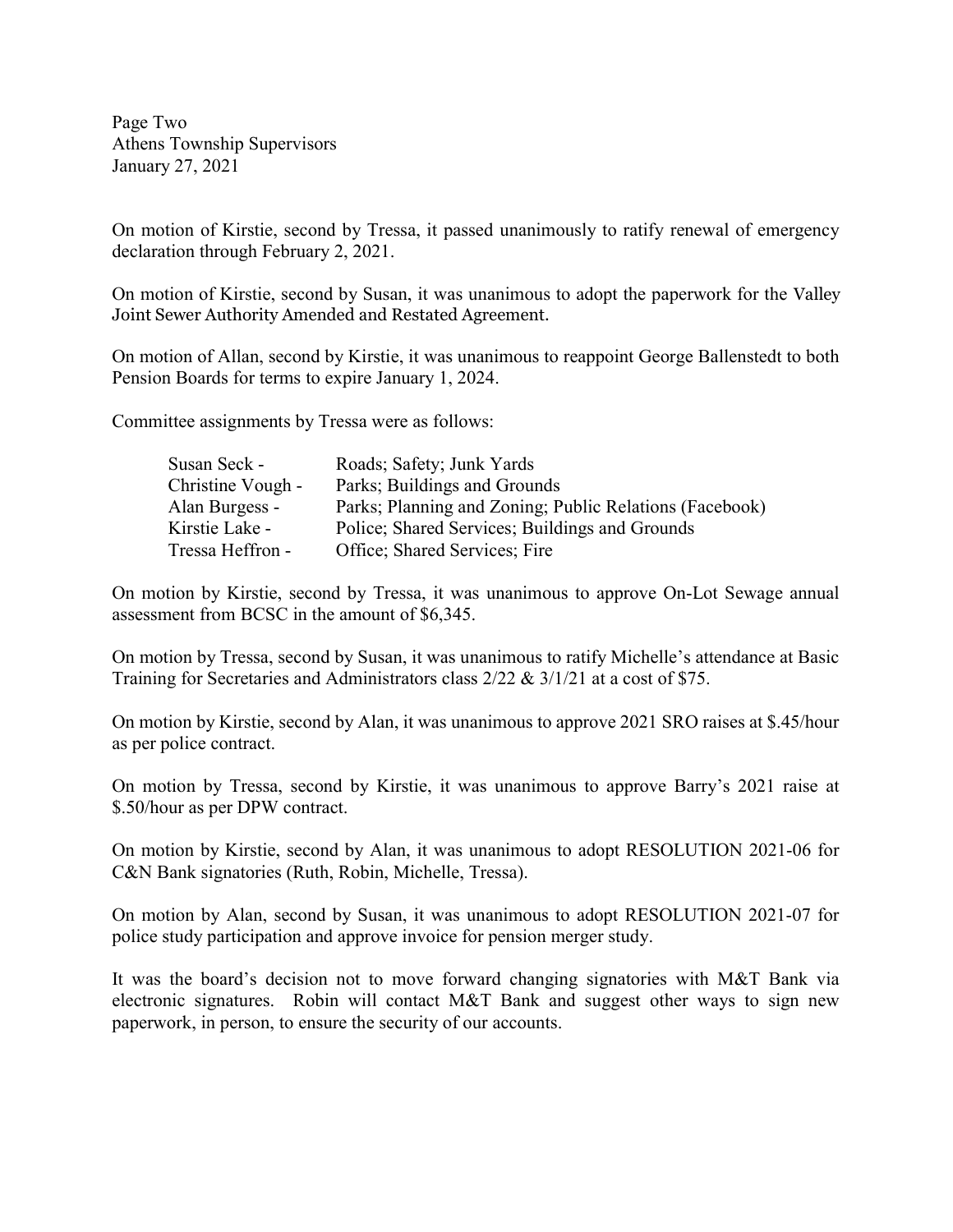Page Two Athens Township Supervisors January 27, 2021

On motion of Kirstie, second by Tressa, it passed unanimously to ratify renewal of emergency declaration through February 2, 2021.

On motion of Kirstie, second by Susan, it was unanimous to adopt the paperwork for the Valley Joint Sewer Authority Amended and Restated Agreement.

On motion of Allan, second by Kirstie, it was unanimous to reappoint George Ballenstedt to both Pension Boards for terms to expire January 1, 2024.

Committee assignments by Tressa were as follows:

| Susan Seck -      | Roads; Safety; Junk Yards                               |
|-------------------|---------------------------------------------------------|
| Christine Vough - | Parks; Buildings and Grounds                            |
| Alan Burgess -    | Parks; Planning and Zoning; Public Relations (Facebook) |
| Kirstie Lake -    | Police; Shared Services; Buildings and Grounds          |
| Tressa Heffron -  | Office; Shared Services; Fire                           |

On motion by Kirstie, second by Tressa, it was unanimous to approve On-Lot Sewage annual assessment from BCSC in the amount of \$6,345.

On motion by Tressa, second by Susan, it was unanimous to ratify Michelle's attendance at Basic Training for Secretaries and Administrators class 2/22 & 3/1/21 at a cost of \$75.

On motion by Kirstie, second by Alan, it was unanimous to approve 2021 SRO raises at \$.45/hour as per police contract.

On motion by Tressa, second by Kirstie, it was unanimous to approve Barry's 2021 raise at \$.50/hour as per DPW contract.

On motion by Kirstie, second by Alan, it was unanimous to adopt RESOLUTION 2021-06 for C&N Bank signatories (Ruth, Robin, Michelle, Tressa).

On motion by Alan, second by Susan, it was unanimous to adopt RESOLUTION 2021-07 for police study participation and approve invoice for pension merger study.

It was the board's decision not to move forward changing signatories with M&T Bank via electronic signatures. Robin will contact M&T Bank and suggest other ways to sign new paperwork, in person, to ensure the security of our accounts.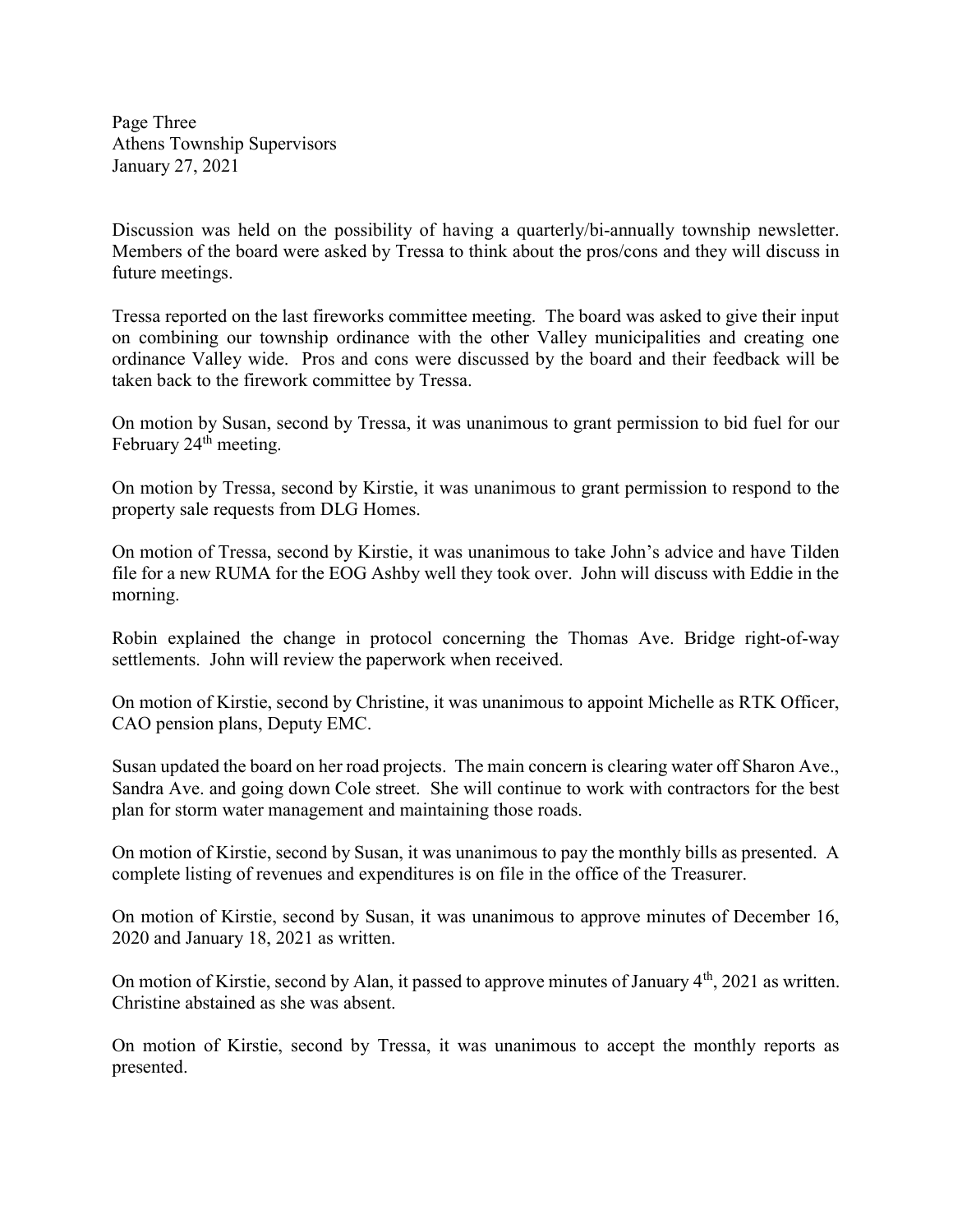Page Three Athens Township Supervisors January 27, 2021

Discussion was held on the possibility of having a quarterly/bi-annually township newsletter. Members of the board were asked by Tressa to think about the pros/cons and they will discuss in future meetings.

Tressa reported on the last fireworks committee meeting. The board was asked to give their input on combining our township ordinance with the other Valley municipalities and creating one ordinance Valley wide. Pros and cons were discussed by the board and their feedback will be taken back to the firework committee by Tressa.

On motion by Susan, second by Tressa, it was unanimous to grant permission to bid fuel for our February 24<sup>th</sup> meeting.

On motion by Tressa, second by Kirstie, it was unanimous to grant permission to respond to the property sale requests from DLG Homes.

On motion of Tressa, second by Kirstie, it was unanimous to take John's advice and have Tilden file for a new RUMA for the EOG Ashby well they took over. John will discuss with Eddie in the morning.

Robin explained the change in protocol concerning the Thomas Ave. Bridge right-of-way settlements. John will review the paperwork when received.

On motion of Kirstie, second by Christine, it was unanimous to appoint Michelle as RTK Officer, CAO pension plans, Deputy EMC.

Susan updated the board on her road projects. The main concern is clearing water off Sharon Ave., Sandra Ave. and going down Cole street. She will continue to work with contractors for the best plan for storm water management and maintaining those roads.

On motion of Kirstie, second by Susan, it was unanimous to pay the monthly bills as presented. A complete listing of revenues and expenditures is on file in the office of the Treasurer.

On motion of Kirstie, second by Susan, it was unanimous to approve minutes of December 16, 2020 and January 18, 2021 as written.

On motion of Kirstie, second by Alan, it passed to approve minutes of January 4<sup>th</sup>, 2021 as written. Christine abstained as she was absent.

On motion of Kirstie, second by Tressa, it was unanimous to accept the monthly reports as presented.